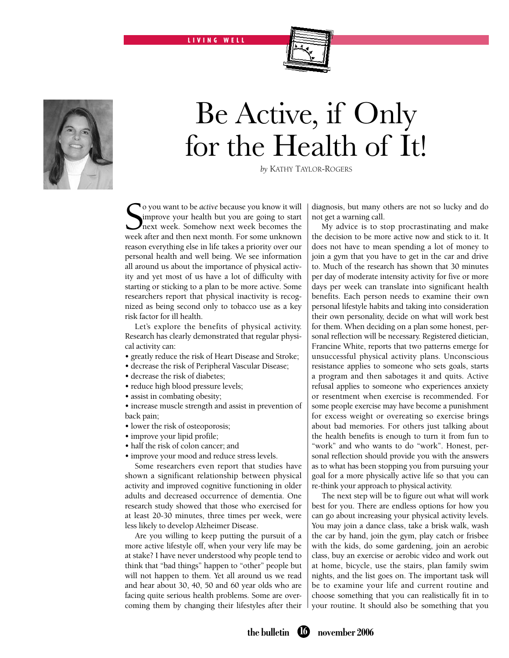L I V I N G W E L L



## Be Active, if Only for the Health of It!

*by* Kathy Taylor-Rogers

So you want to be *active* because you know it will improve your health but you are going to start next week. Somehow next week becomes the week after and then next month. For some unknown o you want to be *active* because you know it will improve your health but you are going to start next week. Somehow next week becomes the reason everything else in life takes a priority over our personal health and well being. We see information all around us about the importance of physical activity and yet most of us have a lot of difficulty with starting or sticking to a plan to be more active. Some researchers report that physical inactivity is recognized as being second only to tobacco use as a key risk factor for ill health.

Let's explore the benefits of physical activity. Research has clearly demonstrated that regular physical activity can:

- greatly reduce the risk of Heart Disease and Stroke;
- decrease the risk of Peripheral Vascular Disease;
- decrease the risk of diabetes;
- reduce high blood pressure levels;
- assist in combating obesity;

• increase muscle strength and assist in prevention of back pain;

- lower the risk of osteoporosis;
- improve your lipid profile;
- half the risk of colon cancer; and
- improve your mood and reduce stress levels.

Some researchers even report that studies have shown a significant relationship between physical activity and improved cognitive functioning in older adults and decreased occurrence of dementia. One research study showed that those who exercised for at least 20-30 minutes, three times per week, were less likely to develop Alzheimer Disease.

Are you willing to keep putting the pursuit of a more active lifestyle off, when your very life may be at stake? I have never understood why people tend to think that "bad things" happen to "other" people but will not happen to them. Yet all around us we read and hear about 30, 40, 50 and 60 year olds who are facing quite serious health problems. Some are overcoming them by changing their lifestyles after their diagnosis, but many others are not so lucky and do not get a warning call.

My advice is to stop procrastinating and make the decision to be more active now and stick to it. It does not have to mean spending a lot of money to join a gym that you have to get in the car and drive to. Much of the research has shown that 30 minutes per day of moderate intensity activity for five or more days per week can translate into significant health benefits. Each person needs to examine their own personal lifestyle habits and taking into consideration their own personality, decide on what will work best for them. When deciding on a plan some honest, personal reflection will be necessary. Registered dietician, Francine White, reports that two patterns emerge for unsuccessful physical activity plans. Unconscious resistance applies to someone who sets goals, starts a program and then sabotages it and quits. Active refusal applies to someone who experiences anxiety or resentment when exercise is recommended. For some people exercise may have become a punishment for excess weight or overeating so exercise brings about bad memories. For others just talking about the health benefits is enough to turn it from fun to "work" and who wants to do "work". Honest, personal reflection should provide you with the answers as to what has been stopping you from pursuing your goal for a more physically active life so that you can re-think your approach to physical activity.

The next step will be to figure out what will work best for you. There are endless options for how you can go about increasing your physical activity levels. You may join a dance class, take a brisk walk, wash the car by hand, join the gym, play catch or frisbee with the kids, do some gardening, join an aerobic class, buy an exercise or aerobic video and work out at home, bicycle, use the stairs, plan family swim nights, and the list goes on. The important task will be to examine your life and current routine and choose something that you can realistically fit in to your routine. It should also be something that you